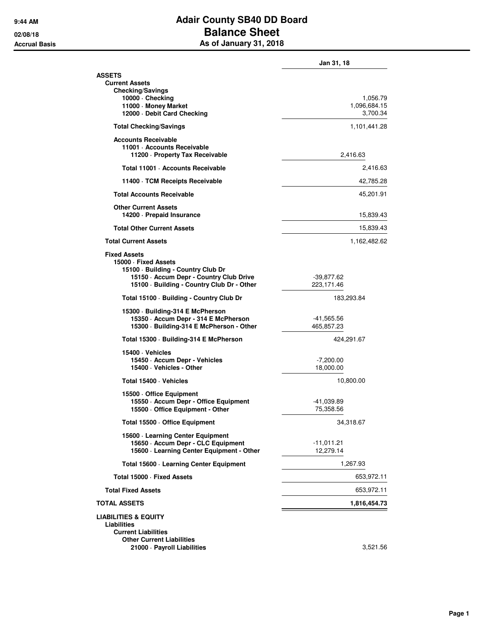## **9:44 AM Adair County SB40 DD Board 02/08/18 Balance Sheet Accrual Basis As of January 31, 2018**

|                                                                                                                      | Jan 31, 18                 |
|----------------------------------------------------------------------------------------------------------------------|----------------------------|
| <b>ASSETS</b><br><b>Current Assets</b>                                                                               |                            |
| <b>Checking/Savings</b><br>10000 · Checking                                                                          | 1,056.79                   |
| 11000 · Money Market<br>12000 - Debit Card Checking                                                                  | 1,096,684.15<br>3,700.34   |
|                                                                                                                      | 1,101,441.28               |
| <b>Total Checking/Savings</b>                                                                                        |                            |
| <b>Accounts Receivable</b><br>11001 · Accounts Receivable<br>11200 - Property Tax Receivable                         | 2,416.63                   |
| Total 11001 · Accounts Receivable                                                                                    | 2,416.63                   |
| 11400 · TCM Receipts Receivable                                                                                      | 42,785.28                  |
| <b>Total Accounts Receivable</b>                                                                                     | 45,201.91                  |
| <b>Other Current Assets</b><br>14200 - Prepaid Insurance                                                             | 15,839.43                  |
| <b>Total Other Current Assets</b>                                                                                    | 15,839.43                  |
| <b>Total Current Assets</b>                                                                                          | 1,162,482.62               |
| <b>Fixed Assets</b>                                                                                                  |                            |
| 15000 · Fixed Assets<br>15100 · Building - Country Club Dr                                                           |                            |
| 15150 - Accum Depr - Country Club Drive<br>15100 · Building - Country Club Dr - Other                                | $-39,877.62$<br>223,171.46 |
| Total 15100 · Building - Country Club Dr                                                                             | 183,293.84                 |
| 15300 · Building-314 E McPherson<br>15350 - Accum Depr - 314 E McPherson<br>15300 · Building-314 E McPherson - Other | -41,565.56<br>465,857.23   |
| Total 15300 · Building-314 E McPherson                                                                               | 424,291.67                 |
| 15400 · Vehicles                                                                                                     |                            |
| 15450 · Accum Depr - Vehicles<br>15400 · Vehicles - Other                                                            | $-7,200.00$<br>18,000.00   |
| Total 15400 · Vehicles                                                                                               | 10,800.00                  |
| 15500 Office Equipment<br>15550 - Accum Depr - Office Equipment                                                      |                            |
| 15500 Office Equipment - Other                                                                                       | -41,039.89<br>75,358.56    |
| Total 15500 Office Equipment                                                                                         | 34,318.67                  |
| 15600 - Learning Center Equipment                                                                                    |                            |
| 15650 · Accum Depr - CLC Equipment<br>15600 · Learning Center Equipment - Other                                      | $-11,011.21$<br>12,279.14  |
| Total 15600 · Learning Center Equipment                                                                              | 1,267.93                   |
| Total 15000 · Fixed Assets                                                                                           | 653,972.11                 |
| <b>Total Fixed Assets</b>                                                                                            | 653,972.11                 |
| <b>TOTAL ASSETS</b>                                                                                                  | 1,816,454.73               |
| <b>LIABILITIES &amp; EQUITY</b>                                                                                      |                            |
| Liabilities<br><b>Current Liabilities</b>                                                                            |                            |
| <b>Other Current Liabilities</b><br>21000 · Payroll Liabilities                                                      | 3,521.56                   |
|                                                                                                                      |                            |